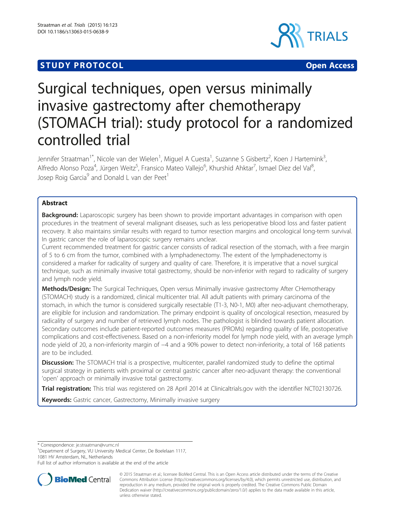# **STUDY PROTOCOL CONSUMING THE CONSUMING OPEN ACCESS**



# Surgical techniques, open versus minimally invasive gastrectomy after chemotherapy (STOMACH trial): study protocol for a randomized controlled trial

Jennifer Straatman<sup>1\*</sup>, Nicole van der Wielen<sup>1</sup>, Miguel A Cuesta<sup>1</sup>, Suzanne S Gisbertz<sup>2</sup>, Koen J Hartemink<sup>3</sup> , Alfredo Alonso Poza<sup>4</sup>, Jürgen Weitz<sup>5</sup>, Fransico Mateo Vallejo<sup>6</sup>, Khurshid Ahktar<sup>7</sup>, Ismael Diez del Val<sup>8</sup> , Josep Roig Garcia<sup>9</sup> and Donald L van der Peet<sup>1</sup>

# Abstract

**Background:** Laparoscopic surgery has been shown to provide important advantages in comparison with open procedures in the treatment of several malignant diseases, such as less perioperative blood loss and faster patient recovery. It also maintains similar results with regard to tumor resection margins and oncological long-term survival. In gastric cancer the role of laparoscopic surgery remains unclear.

Current recommended treatment for gastric cancer consists of radical resection of the stomach, with a free margin of 5 to 6 cm from the tumor, combined with a lymphadenectomy. The extent of the lymphadenectomy is considered a marker for radicality of surgery and quality of care. Therefore, it is imperative that a novel surgical technique, such as minimally invasive total gastrectomy, should be non-inferior with regard to radicality of surgery and lymph node yield.

Methods/Design: The Surgical Techniques, Open versus Minimally invasive gastrectomy After CHemotherapy (STOMACH) study is a randomized, clinical multicenter trial. All adult patients with primary carcinoma of the stomach, in which the tumor is considered surgically resectable (T1-3, N0-1, M0) after neo-adjuvant chemotherapy, are eligible for inclusion and randomization. The primary endpoint is quality of oncological resection, measured by radicality of surgery and number of retrieved lymph nodes. The pathologist is blinded towards patient allocation. Secondary outcomes include patient-reported outcomes measures (PROMs) regarding quality of life, postoperative complications and cost-effectiveness. Based on a non-inferiority model for lymph node yield, with an average lymph node yield of 20, a non-inferiority margin of −4 and a 90% power to detect non-inferiority, a total of 168 patients are to be included.

Discussion: The STOMACH trial is a prospective, multicenter, parallel randomized study to define the optimal surgical strategy in patients with proximal or central gastric cancer after neo-adjuvant therapy: the conventional 'open' approach or minimally invasive total gastrectomy.

Trial registration: This trial was registered on 28 April 2014 at Clinicaltrials.gov with the identifier [NCT02130726](https://www.clinicaltrials.gov/ct2/results?term=NCT02130726).

Keywords: Gastric cancer, Gastrectomy, Minimally invasive surgery

\* Correspondence: [je.straatman@vumc.nl](mailto:je.straatman@vumc.nl) <sup>1</sup>

<sup>1</sup>Department of Surgery, VU University Medical Center, De Boelelaan 1117, 1081 HV Amsterdam, NL, Netherlands

Full list of author information is available at the end of the article



<sup>© 2015</sup> Straatman et al.; licensee BioMed Central. This is an Open Access article distributed under the terms of the Creative Commons Attribution License [\(http://creativecommons.org/licenses/by/4.0\)](http://creativecommons.org/licenses/by/4.0), which permits unrestricted use, distribution, and reproduction in any medium, provided the original work is properly credited. The Creative Commons Public Domain Dedication waiver [\(http://creativecommons.org/publicdomain/zero/1.0/](http://creativecommons.org/publicdomain/zero/1.0/)) applies to the data made available in this article, unless otherwise stated.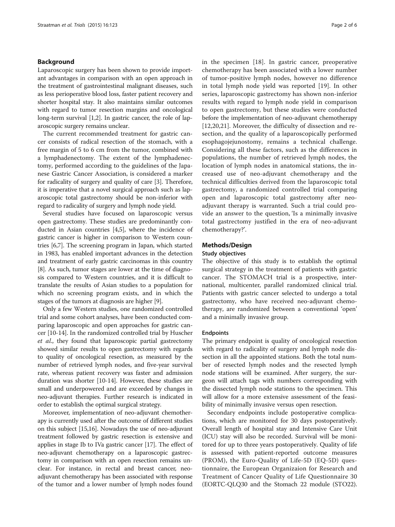# Background

Laparoscopic surgery has been shown to provide important advantages in comparison with an open approach in the treatment of gastrointestinal malignant diseases, such as less perioperative blood loss, faster patient recovery and shorter hospital stay. It also maintains similar outcomes with regard to tumor resection margins and oncological long-term survival [\[1,2](#page-4-0)]. In gastric cancer, the role of laparoscopic surgery remains unclear.

The current recommended treatment for gastric cancer consists of radical resection of the stomach, with a free margin of 5 to 6 cm from the tumor, combined with a lymphadenectomy. The extent of the lymphadenectomy, performed according to the guidelines of the Japanese Gastric Cancer Association, is considered a marker for radicality of surgery and quality of care [[3\]](#page-4-0). Therefore, it is imperative that a novel surgical approach such as laparoscopic total gastrectomy should be non-inferior with regard to radicality of surgery and lymph node yield.

Several studies have focused on laparoscopic versus open gastrectomy. These studies are predominantly conducted in Asian countries [[4,](#page-4-0)[5](#page-5-0)], where the incidence of gastric cancer is higher in comparison to Western countries [\[6,7\]](#page-5-0). The screening program in Japan, which started in 1983, has enabled important advances in the detection and treatment of early gastric carcinomas in this country [[8\]](#page-5-0). As such, tumor stages are lower at the time of diagnosis compared to Western countries, and it is difficult to translate the results of Asian studies to a population for which no screening program exists, and in which the stages of the tumors at diagnosis are higher [[9](#page-5-0)].

Only a few Western studies, one randomized controlled trial and some cohort analyses, have been conducted comparing laparoscopic and open approaches for gastric cancer [[10](#page-5-0)-[14\]](#page-5-0). In the randomized controlled trial by Huscher et al., they found that laparoscopic partial gastrectomy showed similar results to open gastrectomy with regards to quality of oncological resection, as measured by the number of retrieved lymph nodes, and five-year survival rate, whereas patient recovery was faster and admission duration was shorter [\[10-14\]](#page-5-0). However, these studies are small and underpowered and are exceeded by changes in neo-adjuvant therapies. Further research is indicated in order to establish the optimal surgical strategy.

Moreover, implementation of neo-adjuvant chemotherapy is currently used after the outcome of different studies on this subject [[15,16](#page-5-0)]. Nowadays the use of neo-adjuvant treatment followed by gastric resection is extensive and applies in stage Ib to IVa gastric cancer [\[17\]](#page-5-0). The effect of neo-adjuvant chemotherapy on a laparoscopic gastrectomy in comparison with an open resection remains unclear. For instance, in rectal and breast cancer, neoadjuvant chemotherapy has been associated with response of the tumor and a lower number of lymph nodes found in the specimen [[18\]](#page-5-0). In gastric cancer, preoperative chemotherapy has been associated with a lower number of tumor-positive lymph nodes, however no difference in total lymph node yield was reported [\[19](#page-5-0)]. In other series, laparoscopic gastrectomy has shown non-inferior results with regard to lymph node yield in comparison to open gastrectomy, but these studies were conducted before the implementation of neo-adjuvant chemotherapy [[12,20,21](#page-5-0)]. Moreover, the difficulty of dissection and resection, and the quality of a laparoscopically performed esophagojejunostomy, remains a technical challenge. Considering all these factors, such as the differences in populations, the number of retrieved lymph nodes, the location of lymph nodes in anatomical stations, the increased use of neo-adjuvant chemotherapy and the technical difficulties derived from the laparoscopic total gastrectomy, a randomized controlled trial comparing open and laparoscopic total gastrectomy after neoadjuvant therapy is warranted. Such a trial could provide an answer to the question, 'Is a minimally invasive total gastrectomy justified in the era of neo-adjuvant chemotherapy?'.

# Methods/Design

# Study objectives

The objective of this study is to establish the optimal surgical strategy in the treatment of patients with gastric cancer. The STOMACH trial is a prospective, international, multicenter, parallel randomized clinical trial. Patients with gastric cancer selected to undergo a total gastrectomy, who have received neo-adjuvant chemotherapy, are randomized between a conventional 'open' and a minimally invasive group.

# Endpoints

The primary endpoint is quality of oncological resection with regard to radicality of surgery and lymph node dissection in all the appointed stations. Both the total number of resected lymph nodes and the resected lymph node stations will be examined. After surgery, the surgeon will attach tags with numbers corresponding with the dissected lymph node stations to the specimen. This will allow for a more extensive assessment of the feasibility of minimally invasive versus open resection.

Secondary endpoints include postoperative complications, which are monitored for 30 days postoperatively. Overall length of hospital stay and Intensive Care Unit (ICU) stay will also be recorded. Survival will be monitored for up to three years postoperatively. Quality of life is assessed with patient-reported outcome measures (PROM), the Euro-Quality of Life-5D (EQ-5D) questionnaire, the European Organizaion for Research and Treatment of Cancer Quality of Life Questionnaire 30 (EORTC-QLQ30 and the Stomach 22 module (STO22).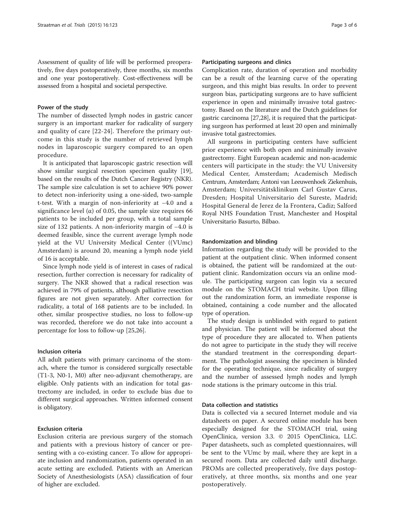Assessment of quality of life will be performed preoperatively, five days postoperatively, three months, six months and one year postoperatively. Cost-effectiveness will be assessed from a hospital and societal perspective.

# Power of the study

The number of dissected lymph nodes in gastric cancer surgery is an important marker for radicality of surgery and quality of care [\[22-24\]](#page-5-0). Therefore the primary outcome in this study is the number of retrieved lymph nodes in laparoscopic surgery compared to an open procedure.

It is anticipated that laparoscopic gastric resection will show similar surgical resection specimen quality [\[19](#page-5-0)], based on the results of the Dutch Cancer Registry (NKR). The sample size calculation is set to achieve 90% power to detect non-inferiority using a one-sided, two-sample t-test. With a margin of non-inferiority at −4.0 and a significance level ( $\alpha$ ) of 0.05, the sample size requires 66 patients to be included per group, with a total sample size of 132 patients. A non-inferiority margin of −4.0 is deemed feasible, since the current average lymph node yield at the VU University Medical Center ((VUmc) Amsterdam) is around 20, meaning a lymph node yield of 16 is acceptable.

Since lymph node yield is of interest in cases of radical resection, further correction is necessary for radicality of surgery. The NKR showed that a radical resection was achieved in 79% of patients, although palliative resection figures are not given separately. After correction for radicality, a total of 168 patients are to be included. In other, similar prospective studies, no loss to follow-up was recorded, therefore we do not take into account a percentage for loss to follow-up [\[25,26\]](#page-5-0).

# Inclusion criteria

All adult patients with primary carcinoma of the stomach, where the tumor is considered surgically resectable (T1-3, N0-1, M0) after neo-adjuvant chemotherapy, are eligible. Only patients with an indication for total gastrectomy are included, in order to exclude bias due to different surgical approaches. Written informed consent is obligatory.

# Exclusion criteria

Exclusion criteria are previous surgery of the stomach and patients with a previous history of cancer or presenting with a co-existing cancer. To allow for appropriate inclusion and randomization, patients operated in an acute setting are excluded. Patients with an American Society of Anesthesiologists (ASA) classification of four of higher are excluded.

# Participating surgeons and clinics

Complication rate, duration of operation and morbidity can be a result of the learning curve of the operating surgeon, and this might bias results. In order to prevent surgeon bias, participating surgeons are to have sufficient experience in open and minimally invasive total gastrectomy. Based on the literature and the Dutch guidelines for gastric carcinoma [\[27,28](#page-5-0)], it is required that the participating surgeon has performed at least 20 open and minimally invasive total gastrectomies.

All surgeons in participating centers have sufficient prior experience with both open and minimally invasive gastrectomy. Eight European academic and non-academic centers will participate in the study: the VU University Medical Center, Amsterdam; Academisch Medisch Centrum, Amsterdam; Antoni van Leeuwenhoek Ziekenhuis, Amsterdam; Universitätsklinikum Carl Gustav Carus, Dresden; Hospital Universitario del Sureste, Madrid; Hospital General de Jerez de la Frontera, Cadiz; Salford Royal NHS Foundation Trust, Manchester and Hospital Universitario Basurto, Bilbao.

# Randomization and blinding

Information regarding the study will be provided to the patient at the outpatient clinic. When informed consent is obtained, the patient will be randomized at the outpatient clinic. Randomization occurs via an online module. The participating surgeon can login via a secured module on the STOMACH trial website. Upon filling out the randomization form, an immediate response is obtained, containing a code number and the allocated type of operation.

The study design is unblinded with regard to patient and physician. The patient will be informed about the type of procedure they are allocated to. When patients do not agree to participate in the study they will receive the standard treatment in the corresponding department. The pathologist assessing the specimen is blinded for the operating technique, since radicality of surgery and the number of assessed lymph nodes and lymph node stations is the primary outcome in this trial.

# Data collection and statistics

Data is collected via a secured Internet module and via datasheets on paper. A secured online module has been especially designed for the STOMACH trial, using OpenClinica, version 3.3. © 2015 OpenClinica, LLC. Paper datasheets, such as completed questionnaires, will be sent to the VUmc by mail, where they are kept in a secured room. Data are collected daily until discharge. PROMs are collected preoperatively, five days postoperatively, at three months, six months and one year postoperatively.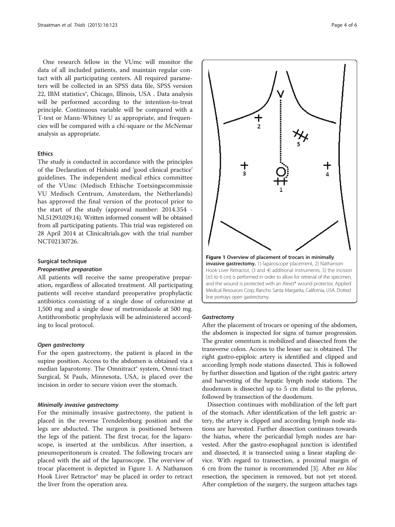One research fellow in the VUmc will monitor the data of all included patients, and maintain regular contact with all participating centers. All required parameters will be collected in an SPSS data file, SPSS version 22, IBM statistics®, Chicago, Illinois, USA. Data analysis will be performed according to the intention-to-treat principle. Continuous variable will be compared with a T-test or Mann-Whitney U as appropriate, and frequencies will be compared with a chi-square or the McNemar analysis as appropriate.

# **Ethics**

The study is conducted in accordance with the principles of the Declaration of Helsinki and 'good clinical practice' guidelines. The independent medical ethics committee of the VUmc (Medisch Ethische Toetsingscommissie VU Medisch Centrum, Amsterdam, the Netherlands) has approved the final version of the protocol prior to the start of the study (approval number: 2014.354 - NL51293.029.14). Written informed consent will be obtained from all participating patients. This trial was registered on 28 April 2014 at Clinicaltrials.gov with the trial number NCT02130726.

# Surgical technique

All patients will receive the same preoperative preparation, regardless of allocated treatment. All participating patients will receive standard preoperative prophylactic antibiotics consisting of a single dose of cefuroxime at 1,500 mg and a single dose of metronidazole at 500 mg. Antithrombotic prophylaxis will be administered according to local protocol.

For the open gastrectomy, the patient is placed in the supine position. Access to the abdomen is obtained via a median laparotomy. The Omnitract® system, Omni-tract Surgical, St Pauls, Minnesota, USA, is placed over the incision in order to secure vision over the stomach.

For the minimally invasive gastrectomy, the patient is placed in the reverse Trendelenburg position and the legs are abducted. The surgeon is positioned between the legs of the patient. The first trocar, for the laparoscope, is inserted at the umbilicus. After insertion, a pneumoperitoneum is created. The following trocars are placed with the aid of the laparoscope. The overview of trocar placement is depicted in Figure 1. A Nathanson Hook Liver Retractor® may be placed in order to retract the liver from the operation area.



Figure 1 Overview of placement of trocars in minimally invasive gastrectomy. 1) laparoscope placement, 2) Nathanson Hook Liver Retractor, (3 and 4) additional instruments, 5) the incision (±5 to 6 cm) is performed in order to allow for retrieval of the specimen, and the wound is protected with an Alexis® wound protector, Applied Medical Resources Corp, Rancho Santa Margarita, California, USA. Dotted line portrays open gastrectomy.

After the placement of trocars or opening of the abdomen, the abdomen is inspected for signs of tumor progression. The greater omentum is mobilized and dissected from the transverse colon. Access to the lesser sac is obtained. The right gastro-epiploic artery is identified and clipped and according lymph node stations dissected. This is followed by further dissection and ligation of the right gastric artery and harvesting of the hepatic lymph node stations. The duodenum is dissected up to 5 cm distal to the pylorus, followed by transection of the duodenum.

Dissection continues with mobilization of the left part of the stomach. After identification of the left gastric artery, the artery is clipped and according lymph node stations are harvested. Further dissection continues towards the hiatus, where the pericardial lymph nodes are harvested. After the gastro-esophageal junction is identified and dissected, it is transected using a linear stapling device. With regard to transection, a proximal margin of 6 cm from the tumor is recommended [[3\]](#page-4-0). After en bloc resection, the specimen is removed, but not yet stored. After completion of the surgery, the surgeon attaches tags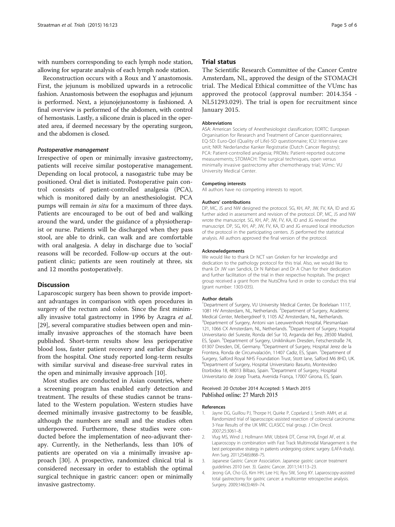<span id="page-4-0"></span>with numbers corresponding to each lymph node station, allowing for separate analysis of each lymph node station.

Reconstruction occurs with a Roux and Y anastomosis. First, the jejunum is mobilized upwards in a retrocolic fashion. Anastomosis between the esophagus and jejunum is performed. Next, a jejunojejunostomy is fashioned. A final overview is performed of the abdomen, with control of hemostasis. Lastly, a silicone drain is placed in the operated area, if deemed necessary by the operating surgeon, and the abdomen is closed.

Irrespective of open or minimally invasive gastrectomy, patients will receive similar postoperative management. Depending on local protocol, a nasogastric tube may be positioned. Oral diet is initiated. Postoperative pain control consists of patient-controlled analgesia (PCA), which is monitored daily by an anesthesiologist. PCA pumps will remain in situ for a maximum of three days. Patients are encouraged to be out of bed and walking around the ward, under the guidance of a physiotherapist or nurse. Patients will be discharged when they pass stool, are able to drink, can walk and are comfortable with oral analgesia. A delay in discharge due to 'social' reasons will be recorded. Follow-up occurs at the outpatient clinic; patients are seen routinely at three, six and 12 months postoperatively.

# **Discussion**

Laparoscopic surgery has been shown to provide important advantages in comparison with open procedures in surgery of the rectum and colon. Since the first minimally invasive total gastrectomy in 1996 by Azagra et al. [[29\]](#page-5-0), several comparative studies between open and minimally invasive approaches of the stomach have been published. Short-term results show less perioperative blood loss, faster patient recovery and earlier discharge from the hospital. One study reported long-term results with similar survival and disease-free survival rates in the open and minimally invasive approach [\[10](#page-5-0)].

Most studies are conducted in Asian countries, where a screening program has enabled early detection and treatment. The results of these studies cannot be translated to the Western population. Western studies have deemed minimally invasive gastrectomy to be feasible, although the numbers are small and the studies often underpowered. Furthermore, these studies were conducted before the implementation of neo-adjuvant therapy. Currently, in the Netherlands, less than 10% of patients are operated on via a minimally invasive approach [[30](#page-5-0)]. A prospective, randomized clinical trial is considered necessary in order to establish the optimal surgical technique in gastric cancer: open or minimally invasive gastrectomy.

# Trial status

The Scientific Research Committee of the Cancer Centre Amsterdam, NL, approved the design of the STOMACH trial. The Medical Ethical committee of the VUmc has approved the protocol (approval number: 2014.354 - NL51293.029). The trial is open for recruitment since January 2015.

# Abbreviations

ASA: American Society of Anesthesiologist classification; EORTC: European Organisation for Research and Treatment of Cancer questionnaires; EQ-5D: Euro-Qol (Quality of Life)-5D questionnaire; ICU: Intensive care unit; NKR: Nederlandse Kanker Registratie (Dutch Cancer Registry); PCA: Patient-controlled analgesia; PROMs: Patient-reported outcome measurements; STOMACH: The surgical techniques, open versus minimally invasive gastrectomy after chemotherapy trial; VUmc: VU University Medical Center.

### Competing interests

All authors have no competing interests to report.

### Authors' contributions

DP, MC, JS and NW designed the protocol. SG, KH, AP, JW, FV, KA, ID and JG further aided in assessment and revision of the protocol. DP, MC, JS and NW wrote the manuscript. SG, KH, AP, JW, FV, KA, ID and JG revised the manuscript. DP, SG, KH, AP, JW, FV, KA, ID and JG ensured local introduction of the protocol in the participating centers. JS performed the statistical analysis. All authors approved the final version of the protocol.

# Acknowledgements

We would like to thank Dr NCT van Grieken for her knowledge and dedication to the pathology protocol for this trial. Also, we would like to thank Dr JW van Sandick, Dr N Rahbari and Dr A Chan for their dedication and further facilitation of the trial in their respective hospitals. The project group received a grant from the NutsOhra fund in order to conduct this trial (grant number: 1303-035).

# Author details

<sup>1</sup>Department of Surgery, VU University Medical Center, De Boelelaan 1117 1081 HV Amsterdam, NL, Netherlands. <sup>2</sup>Department of Surgery, Academic Medical Center, Meibergdreef 9, 1105 AZ Amsterdam, NL, Netherlands. 3 Department of Surgery, Antoni van Leeuwenhoek Hospital, Plesmanlaan 121, 1066 CX Amsterdam, NL, Netherlands. <sup>4</sup>Department of Surgery, Hospital Universitario del Sureste, Ronda del Sur 10, Arganda del Rey, 28500 Madrid, ES, Spain. <sup>5</sup>Department of Surgery, Uniklinikum Dresden, Fetscherstraße 74, 01307 Dresden, DE, Germany. <sup>6</sup>Department of Surgery, Hospital Jerez de la Frontera, Ronda de Circunvalación, 11407 Cadiz, ES, Spain. <sup>7</sup>Department of Surgery, Salford Royal NHS Foundation Trust, Stott lane, Salford M6 8HD, UK. 8 Department of Surgery, Hospital Universitario Basurto, Montevideo Etorbidea 18, 48013 Bilbao, Spain. <sup>9</sup>Department of Surgery, Hospital Universitario de Josep Trueta, Avenida França, 17007 Girona, ES, Spain.

# Received: 20 October 2014 Accepted: 5 March 2015 Published online: 27 March 2015

## References

- Jayne DG, Guillou PJ, Thorpe H, Quirke P, Copeland J, Smith AMH, et al. Randomized trial of laparoscopic-assisted resection of colorectal carcinoma: 3-Year Results of the UK MRC CLASICC trial group. J Clin Oncol. 2007;25:3061–8.
- 2. Vlug MS, Wind J, Hollmann MW, Ubbink DT, Cense HA, Engel AF, et al. Laparoscopy in combination with Fast Track Multimodal Management is the best perioperative strategy in patients undergoing colonic surgery. (LAFA-study). Ann Surg. 2011;254(6):868–75.
- 3. Japanese Gastric Cancer Association. Japanese gastric cancer treatment guidelines 2010 (ver. 3). Gastric Cancer. 2011;14:113–23.
- 4. Jeong GA, Cho GS, Kim HH, Lee HJ, Ryu SW, Song KY. Laparoscopy-assisted total gastrectomy for gastric cancer: a multicenter retrospective analysis. Surgery. 2009;146(3):469–74.